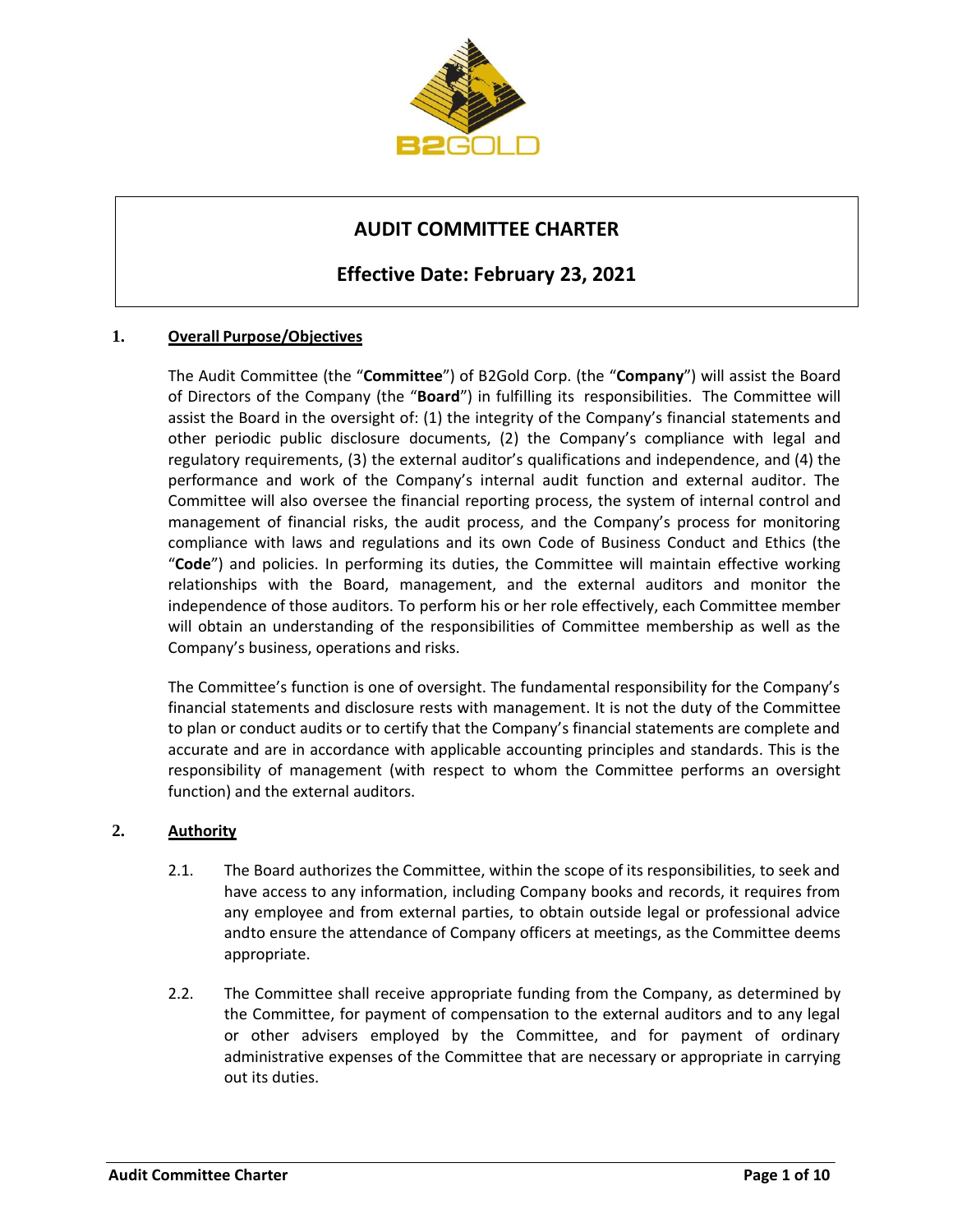

# **AUDIT COMMITTEE CHARTER**

## **Effective Date: February 23, 2021**

### **1. Overall Purpose/Objectives**

The Audit Committee (the "**Committee**") of B2Gold Corp. (the "**Company**") will assist the Board of Directors of the Company (the "**Board**") in fulfilling its responsibilities. The Committee will assist the Board in the oversight of: (1) the integrity of the Company's financial statements and other periodic public disclosure documents, (2) the Company's compliance with legal and regulatory requirements, (3) the external auditor's qualifications and independence, and (4) the performance and work of the Company's internal audit function and external auditor. The Committee will also oversee the financial reporting process, the system of internal control and management of financial risks, the audit process, and the Company's process for monitoring compliance with laws and regulations and its own Code of Business Conduct and Ethics (the "**Code**") and policies. In performing its duties, the Committee will maintain effective working relationships with the Board, management, and the external auditors and monitor the independence of those auditors. To perform his or her role effectively, each Committee member will obtain an understanding of the responsibilities of Committee membership as well as the Company's business, operations and risks.

The Committee's function is one of oversight. The fundamental responsibility for the Company's financial statements and disclosure rests with management. It is not the duty of the Committee to plan or conduct audits or to certify that the Company's financial statements are complete and accurate and are in accordance with applicable accounting principles and standards. This is the responsibility of management (with respect to whom the Committee performs an oversight function) and the external auditors.

#### **2. Authority**

- 2.1. The Board authorizes the Committee, within the scope of its responsibilities, to seek and have access to any information, including Company books and records, it requires from any employee and from external parties, to obtain outside legal or professional advice andto ensure the attendance of Company officers at meetings, as the Committee deems appropriate.
- 2.2. The Committee shall receive appropriate funding from the Company, as determined by the Committee, for payment of compensation to the external auditors and to any legal or other advisers employed by the Committee, and for payment of ordinary administrative expenses of the Committee that are necessary or appropriate in carrying out its duties.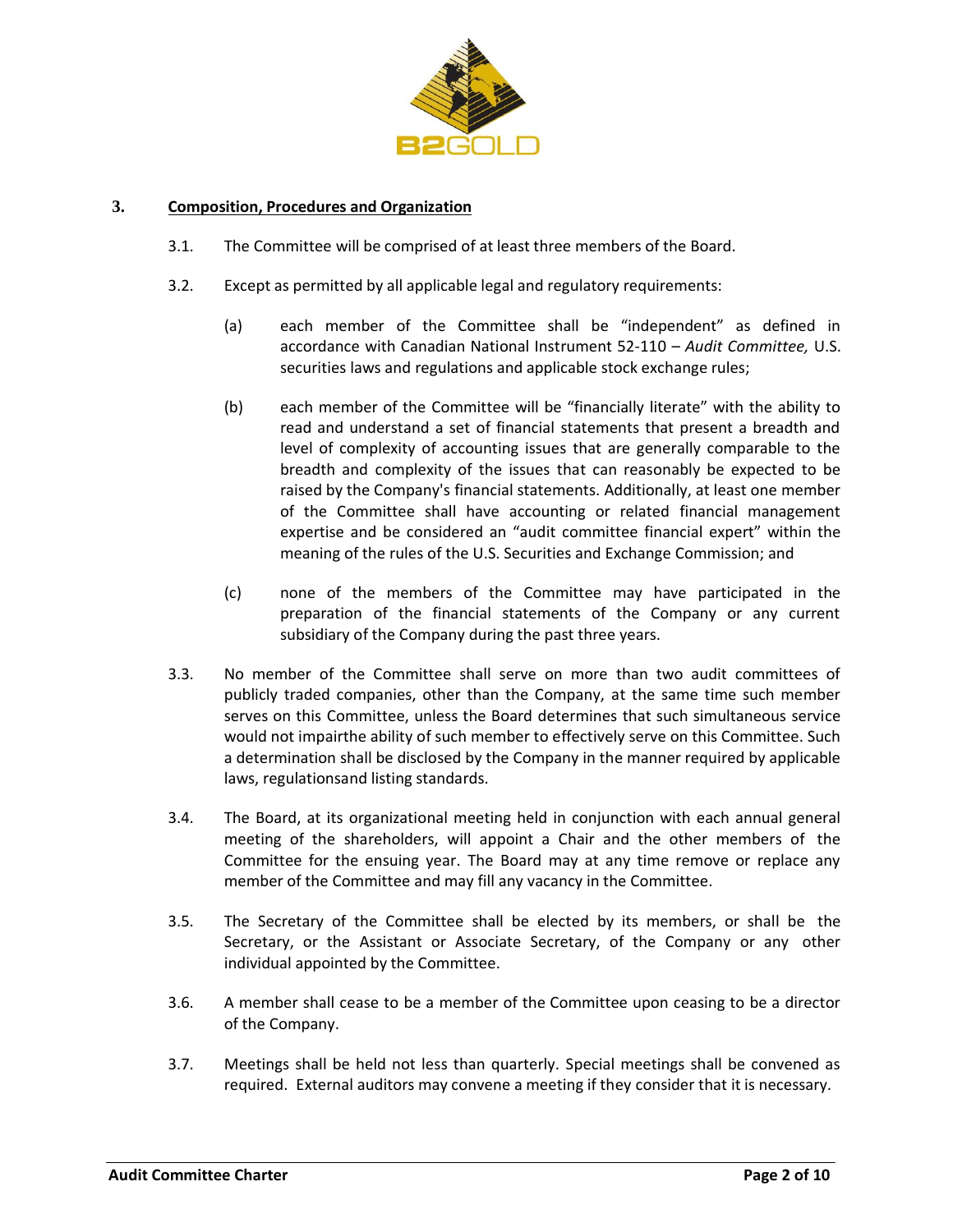

#### **3. Composition, Procedures and Organization**

- 3.1. The Committee will be comprised of at least three members of the Board.
- 3.2. Except as permitted by all applicable legal and regulatory requirements:
	- (a) each member of the Committee shall be "independent" as defined in accordance with Canadian National Instrument 52-110 – *Audit Committee,* U.S. securities laws and regulations and applicable stock exchange rules;
	- (b) each member of the Committee will be "financially literate" with the ability to read and understand a set of financial statements that present a breadth and level of complexity of accounting issues that are generally comparable to the breadth and complexity of the issues that can reasonably be expected to be raised by the Company's financial statements. Additionally, at least one member of the Committee shall have accounting or related financial management expertise and be considered an "audit committee financial expert" within the meaning of the rules of the U.S. Securities and Exchange Commission; and
	- (c) none of the members of the Committee may have participated in the preparation of the financial statements of the Company or any current subsidiary of the Company during the past three years.
- 3.3. No member of the Committee shall serve on more than two audit committees of publicly traded companies, other than the Company, at the same time such member serves on this Committee, unless the Board determines that such simultaneous service would not impairthe ability of such member to effectively serve on this Committee. Such a determination shall be disclosed by the Company in the manner required by applicable laws, regulationsand listing standards.
- 3.4. The Board, at its organizational meeting held in conjunction with each annual general meeting of the shareholders, will appoint a Chair and the other members of the Committee for the ensuing year. The Board may at any time remove or replace any member of the Committee and may fill any vacancy in the Committee.
- 3.5. The Secretary of the Committee shall be elected by its members, or shall be the Secretary, or the Assistant or Associate Secretary, of the Company or any other individual appointed by the Committee.
- 3.6. A member shall cease to be a member of the Committee upon ceasing to be a director of the Company.
- 3.7. Meetings shall be held not less than quarterly. Special meetings shall be convened as required. External auditors may convene a meeting if they consider that it is necessary.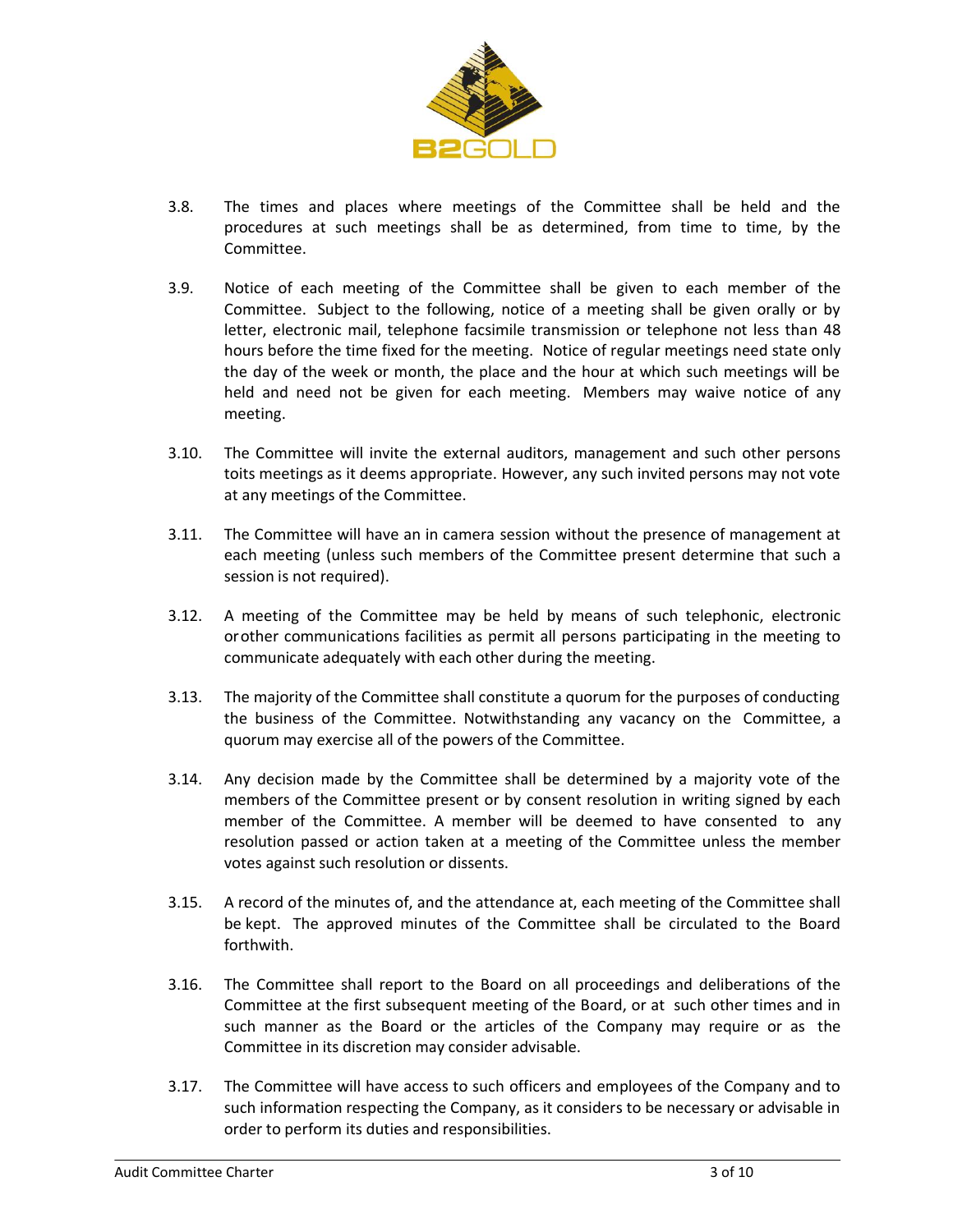

- 3.8. The times and places where meetings of the Committee shall be held and the procedures at such meetings shall be as determined, from time to time, by the Committee.
- 3.9. Notice of each meeting of the Committee shall be given to each member of the Committee. Subject to the following, notice of a meeting shall be given orally or by letter, electronic mail, telephone facsimile transmission or telephone not less than 48 hours before the time fixed for the meeting. Notice of regular meetings need state only the day of the week or month, the place and the hour at which such meetings will be held and need not be given for each meeting. Members may waive notice of any meeting.
- 3.10. The Committee will invite the external auditors, management and such other persons toits meetings as it deems appropriate. However, any such invited persons may not vote at any meetings of the Committee.
- 3.11. The Committee will have an in camera session without the presence of management at each meeting (unless such members of the Committee present determine that such a session is not required).
- 3.12. A meeting of the Committee may be held by means of such telephonic, electronic orother communications facilities as permit all persons participating in the meeting to communicate adequately with each other during the meeting.
- 3.13. The majority of the Committee shall constitute a quorum for the purposes of conducting the business of the Committee. Notwithstanding any vacancy on the Committee, a quorum may exercise all of the powers of the Committee.
- 3.14. Any decision made by the Committee shall be determined by a majority vote of the members of the Committee present or by consent resolution in writing signed by each member of the Committee. A member will be deemed to have consented to any resolution passed or action taken at a meeting of the Committee unless the member votes against such resolution or dissents.
- 3.15. A record of the minutes of, and the attendance at, each meeting of the Committee shall be kept. The approved minutes of the Committee shall be circulated to the Board forthwith.
- 3.16. The Committee shall report to the Board on all proceedings and deliberations of the Committee at the first subsequent meeting of the Board, or at such other times and in such manner as the Board or the articles of the Company may require or as the Committee in its discretion may consider advisable.
- 3.17. The Committee will have access to such officers and employees of the Company and to such information respecting the Company, as it considers to be necessary or advisable in order to perform its duties and responsibilities.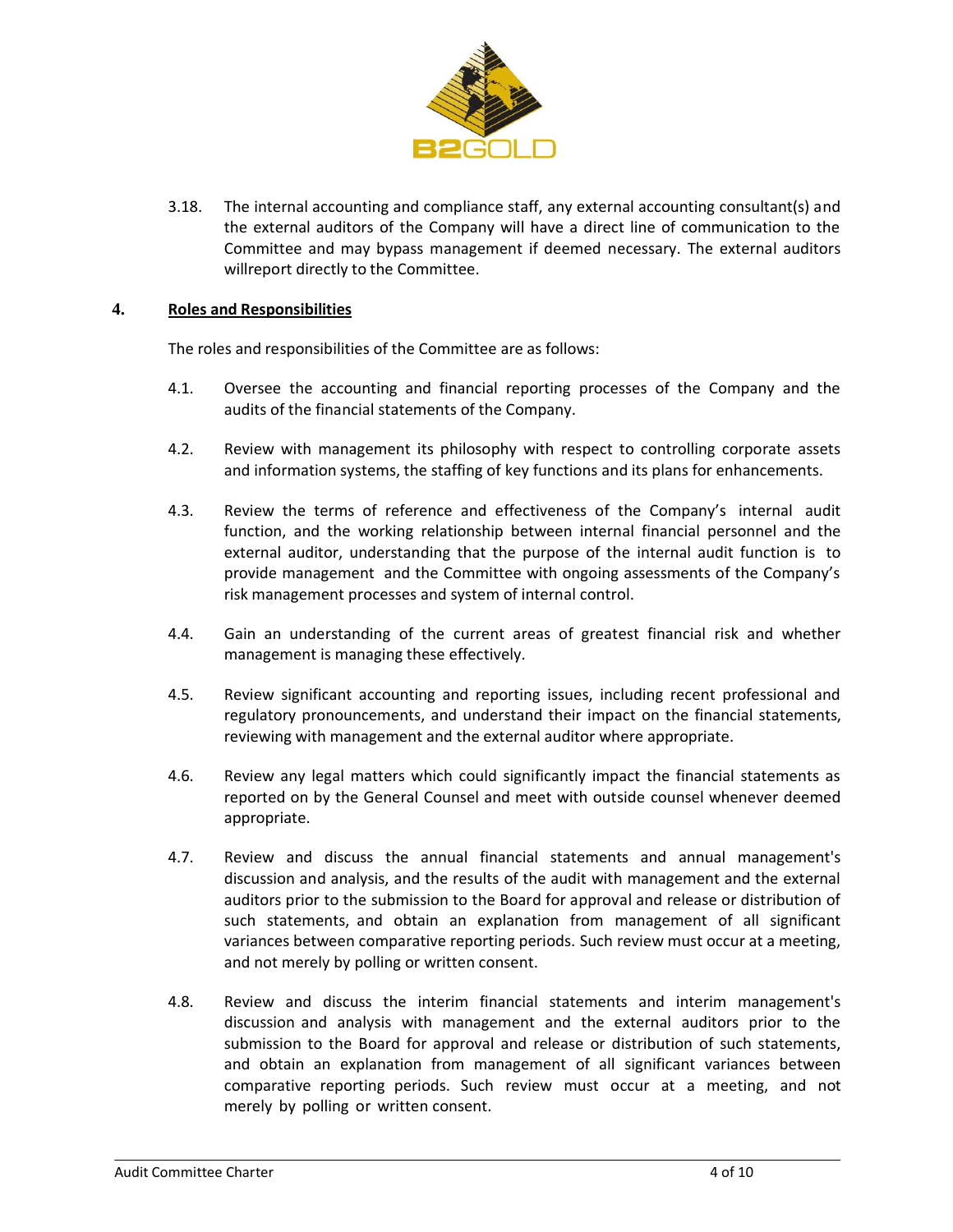

3.18. The internal accounting and compliance staff, any external accounting consultant(s) and the external auditors of the Company will have a direct line of communication to the Committee and may bypass management if deemed necessary. The external auditors willreport directly to the Committee.

#### **4. Roles and Responsibilities**

The roles and responsibilities of the Committee are as follows:

- 4.1. Oversee the accounting and financial reporting processes of the Company and the audits of the financial statements of the Company.
- 4.2. Review with management its philosophy with respect to controlling corporate assets and information systems, the staffing of key functions and its plans for enhancements.
- 4.3. Review the terms of reference and effectiveness of the Company's internal audit function, and the working relationship between internal financial personnel and the external auditor, understanding that the purpose of the internal audit function is to provide management and the Committee with ongoing assessments of the Company's risk management processes and system of internal control.
- 4.4. Gain an understanding of the current areas of greatest financial risk and whether management is managing these effectively.
- 4.5. Review significant accounting and reporting issues, including recent professional and regulatory pronouncements, and understand their impact on the financial statements, reviewing with management and the external auditor where appropriate.
- 4.6. Review any legal matters which could significantly impact the financial statements as reported on by the General Counsel and meet with outside counsel whenever deemed appropriate.
- 4.7. Review and discuss the annual financial statements and annual management's discussion and analysis, and the results of the audit with management and the external auditors prior to the submission to the Board for approval and release or distribution of such statements, and obtain an explanation from management of all significant variances between comparative reporting periods. Such review must occur at a meeting, and not merely by polling or written consent.
- 4.8. Review and discuss the interim financial statements and interim management's discussion and analysis with management and the external auditors prior to the submission to the Board for approval and release or distribution of such statements, and obtain an explanation from management of all significant variances between comparative reporting periods. Such review must occur at a meeting, and not merely by polling or written consent.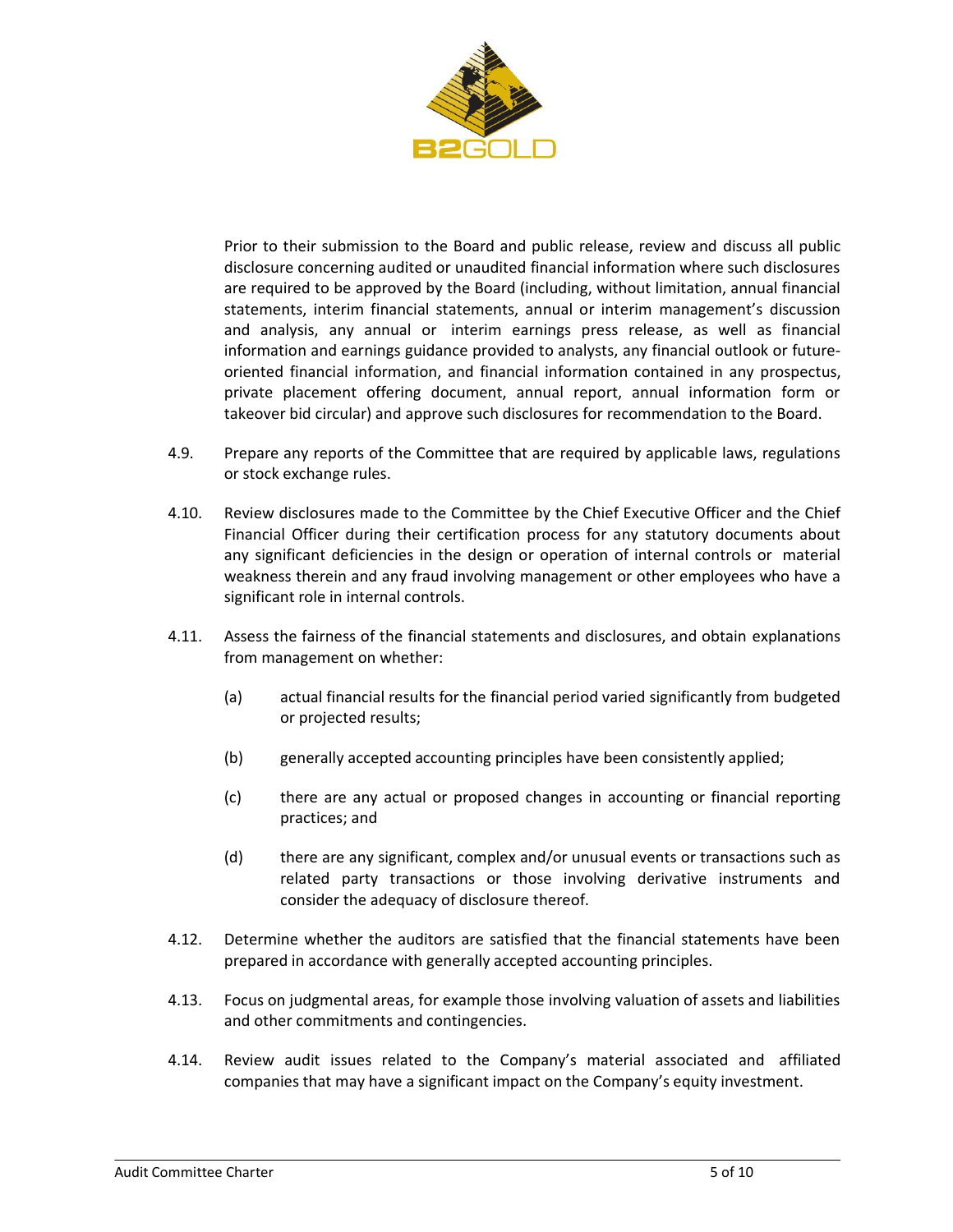

Prior to their submission to the Board and public release, review and discuss all public disclosure concerning audited or unaudited financial information where such disclosures are required to be approved by the Board (including, without limitation, annual financial statements, interim financial statements, annual or interim management's discussion and analysis, any annual or interim earnings press release, as well as financial information and earnings guidance provided to analysts, any financial outlook or futureoriented financial information, and financial information contained in any prospectus, private placement offering document, annual report, annual information form or takeover bid circular) and approve such disclosures for recommendation to the Board.

- 4.9. Prepare any reports of the Committee that are required by applicable laws, regulations or stock exchange rules.
- 4.10. Review disclosures made to the Committee by the Chief Executive Officer and the Chief Financial Officer during their certification process for any statutory documents about any significant deficiencies in the design or operation of internal controls or material weakness therein and any fraud involving management or other employees who have a significant role in internal controls.
- 4.11. Assess the fairness of the financial statements and disclosures, and obtain explanations from management on whether:
	- (a) actual financial results for the financial period varied significantly from budgeted or projected results;
	- (b) generally accepted accounting principles have been consistently applied;
	- (c) there are any actual or proposed changes in accounting or financial reporting practices; and
	- (d) there are any significant, complex and/or unusual events or transactions such as related party transactions or those involving derivative instruments and consider the adequacy of disclosure thereof.
- 4.12. Determine whether the auditors are satisfied that the financial statements have been prepared in accordance with generally accepted accounting principles.
- 4.13. Focus on judgmental areas, for example those involving valuation of assets and liabilities and other commitments and contingencies.
- 4.14. Review audit issues related to the Company's material associated and affiliated companies that may have a significant impact on the Company's equity investment.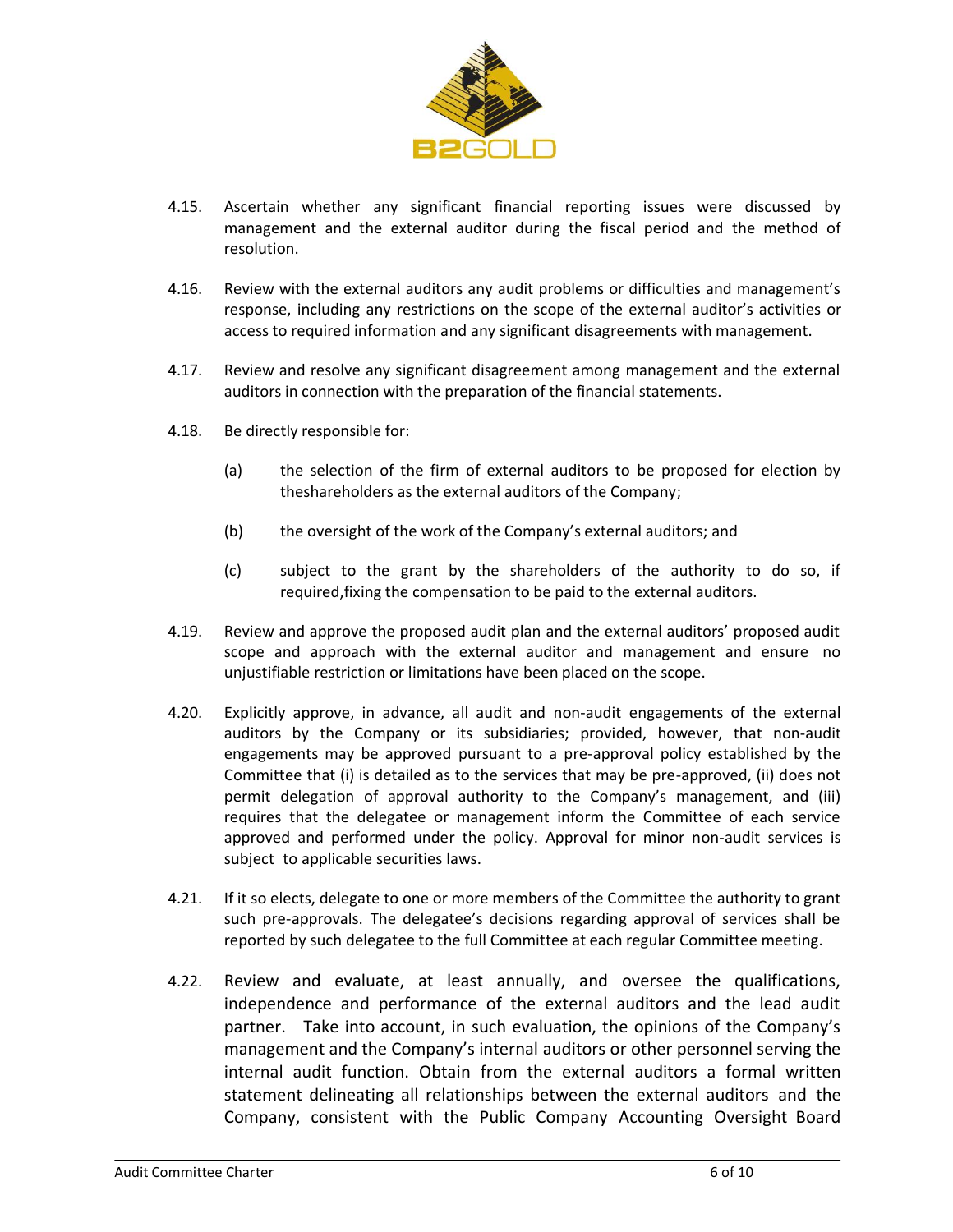

- 4.15. Ascertain whether any significant financial reporting issues were discussed by management and the external auditor during the fiscal period and the method of resolution.
- 4.16. Review with the external auditors any audit problems or difficulties and management's response, including any restrictions on the scope of the external auditor's activities or access to required information and any significant disagreements with management.
- 4.17. Review and resolve any significant disagreement among management and the external auditors in connection with the preparation of the financial statements.
- 4.18. Be directly responsible for:
	- (a) the selection of the firm of external auditors to be proposed for election by theshareholders as the external auditors of the Company;
	- (b) the oversight of the work of the Company's external auditors; and
	- (c) subject to the grant by the shareholders of the authority to do so, if required,fixing the compensation to be paid to the external auditors.
- 4.19. Review and approve the proposed audit plan and the external auditors' proposed audit scope and approach with the external auditor and management and ensure no unjustifiable restriction or limitations have been placed on the scope.
- 4.20. Explicitly approve, in advance, all audit and non-audit engagements of the external auditors by the Company or its subsidiaries; provided, however, that non-audit engagements may be approved pursuant to a pre-approval policy established by the Committee that (i) is detailed as to the services that may be pre-approved, (ii) does not permit delegation of approval authority to the Company's management, and (iii) requires that the delegatee or management inform the Committee of each service approved and performed under the policy. Approval for minor non-audit services is subject to applicable securities laws.
- 4.21. If it so elects, delegate to one or more members of the Committee the authority to grant such pre-approvals. The delegatee's decisions regarding approval of services shall be reported by such delegatee to the full Committee at each regular Committee meeting.
- 4.22. Review and evaluate, at least annually, and oversee the qualifications, independence and performance of the external auditors and the lead audit partner. Take into account, in such evaluation, the opinions of the Company's management and the Company's internal auditors or other personnel serving the internal audit function. Obtain from the external auditors a formal written statement delineating all relationships between the external auditors and the Company, consistent with the Public Company Accounting Oversight Board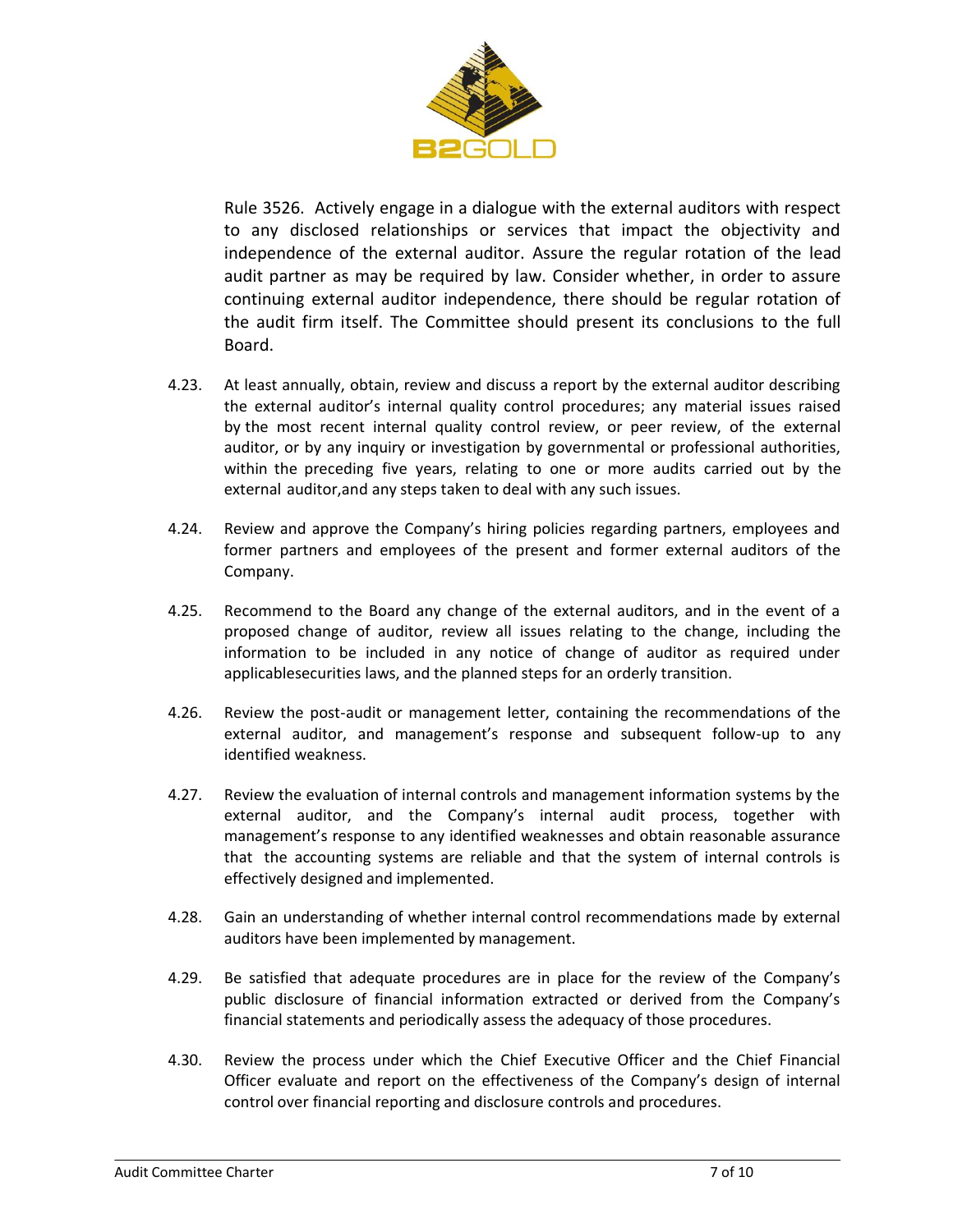

Rule 3526. Actively engage in a dialogue with the external auditors with respect to any disclosed relationships or services that impact the objectivity and independence of the external auditor. Assure the regular rotation of the lead audit partner as may be required by law. Consider whether, in order to assure continuing external auditor independence, there should be regular rotation of the audit firm itself. The Committee should present its conclusions to the full Board.

- 4.23. At least annually, obtain, review and discuss a report by the external auditor describing the external auditor's internal quality control procedures; any material issues raised by the most recent internal quality control review, or peer review, of the external auditor, or by any inquiry or investigation by governmental or professional authorities, within the preceding five years, relating to one or more audits carried out by the external auditor,and any steps taken to deal with any such issues.
- 4.24. Review and approve the Company's hiring policies regarding partners, employees and former partners and employees of the present and former external auditors of the Company.
- 4.25. Recommend to the Board any change of the external auditors, and in the event of a proposed change of auditor, review all issues relating to the change, including the information to be included in any notice of change of auditor as required under applicablesecurities laws, and the planned steps for an orderly transition.
- 4.26. Review the post-audit or management letter, containing the recommendations of the external auditor, and management's response and subsequent follow-up to any identified weakness.
- 4.27. Review the evaluation of internal controls and management information systems by the external auditor, and the Company's internal audit process, together with management's response to any identified weaknesses and obtain reasonable assurance that the accounting systems are reliable and that the system of internal controls is effectively designed and implemented.
- 4.28. Gain an understanding of whether internal control recommendations made by external auditors have been implemented by management.
- 4.29. Be satisfied that adequate procedures are in place for the review of the Company's public disclosure of financial information extracted or derived from the Company's financial statements and periodically assess the adequacy of those procedures.
- 4.30. Review the process under which the Chief Executive Officer and the Chief Financial Officer evaluate and report on the effectiveness of the Company's design of internal control over financial reporting and disclosure controls and procedures.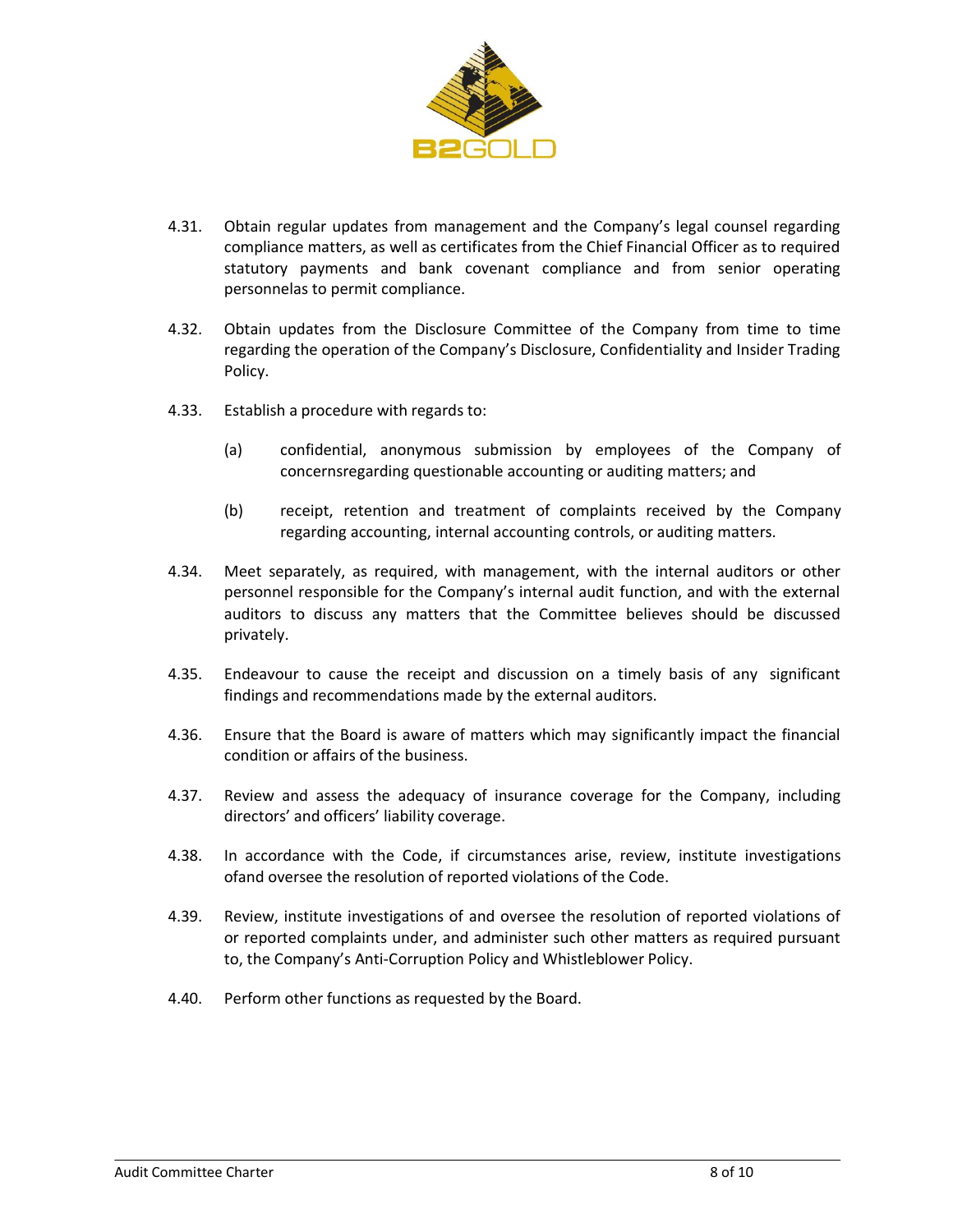

- 4.31. Obtain regular updates from management and the Company's legal counsel regarding compliance matters, as well as certificates from the Chief Financial Officer as to required statutory payments and bank covenant compliance and from senior operating personnelas to permit compliance.
- 4.32. Obtain updates from the Disclosure Committee of the Company from time to time regarding the operation of the Company's Disclosure, Confidentiality and Insider Trading Policy.
- 4.33. Establish a procedure with regards to:
	- (a) confidential, anonymous submission by employees of the Company of concernsregarding questionable accounting or auditing matters; and
	- (b) receipt, retention and treatment of complaints received by the Company regarding accounting, internal accounting controls, or auditing matters.
- 4.34. Meet separately, as required, with management, with the internal auditors or other personnel responsible for the Company's internal audit function, and with the external auditors to discuss any matters that the Committee believes should be discussed privately.
- 4.35. Endeavour to cause the receipt and discussion on a timely basis of any significant findings and recommendations made by the external auditors.
- 4.36. Ensure that the Board is aware of matters which may significantly impact the financial condition or affairs of the business.
- 4.37. Review and assess the adequacy of insurance coverage for the Company, including directors' and officers' liability coverage.
- 4.38. In accordance with the Code, if circumstances arise, review, institute investigations ofand oversee the resolution of reported violations of the Code.
- 4.39. Review, institute investigations of and oversee the resolution of reported violations of or reported complaints under, and administer such other matters as required pursuant to, the Company's Anti-Corruption Policy and Whistleblower Policy.
- 4.40. Perform other functions as requested by the Board.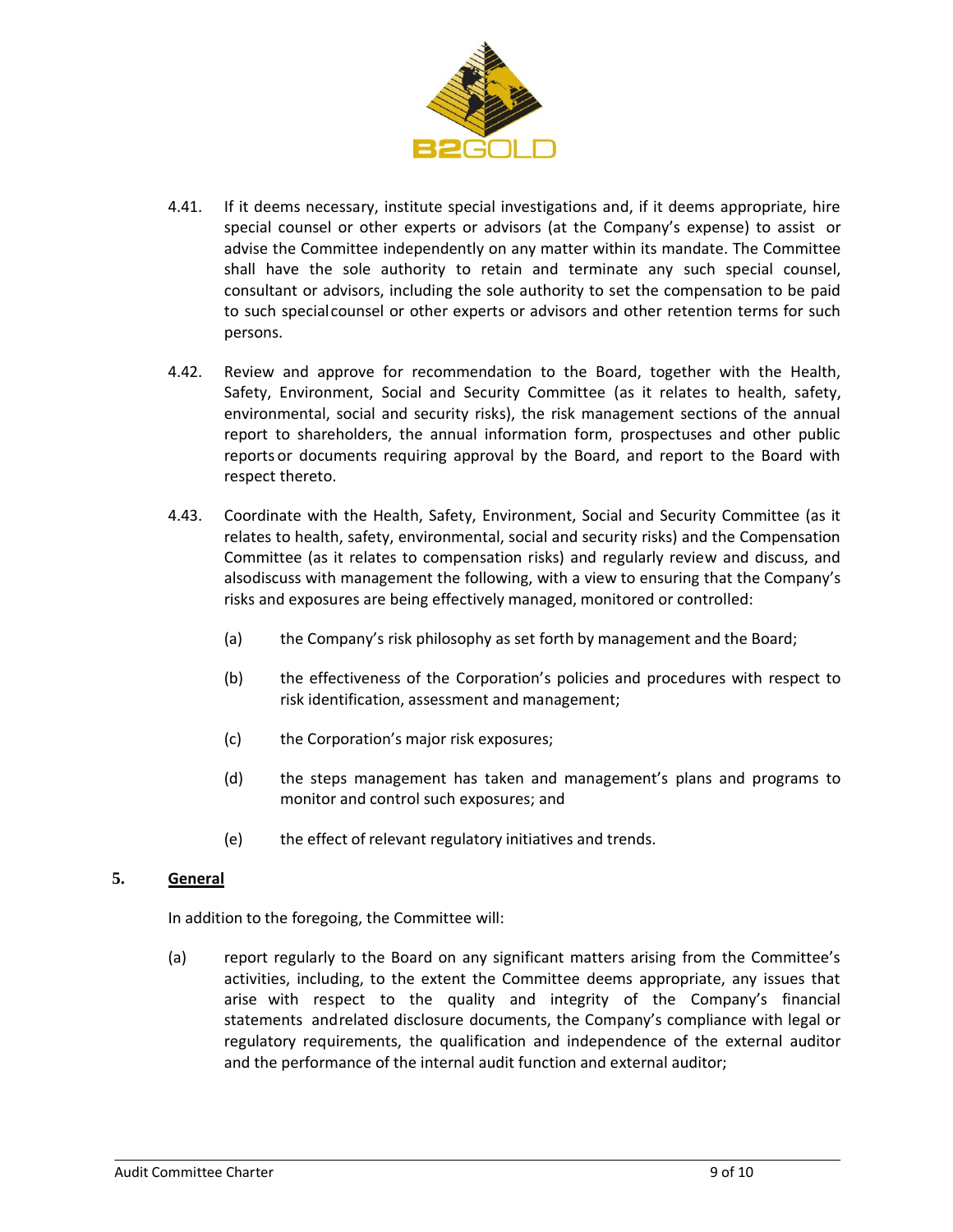

- 4.41. If it deems necessary, institute special investigations and, if it deems appropriate, hire special counsel or other experts or advisors (at the Company's expense) to assist or advise the Committee independently on any matter within its mandate. The Committee shall have the sole authority to retain and terminate any such special counsel, consultant or advisors, including the sole authority to set the compensation to be paid to such specialcounsel or other experts or advisors and other retention terms for such persons.
- 4.42. Review and approve for recommendation to the Board, together with the Health, Safety, Environment, Social and Security Committee (as it relates to health, safety, environmental, social and security risks), the risk management sections of the annual report to shareholders, the annual information form, prospectuses and other public reports or documents requiring approval by the Board, and report to the Board with respect thereto.
- 4.43. Coordinate with the Health, Safety, Environment, Social and Security Committee (as it relates to health, safety, environmental, social and security risks) and the Compensation Committee (as it relates to compensation risks) and regularly review and discuss, and alsodiscuss with management the following, with a view to ensuring that the Company's risks and exposures are being effectively managed, monitored or controlled:
	- (a) the Company's risk philosophy as set forth by management and the Board;
	- (b) the effectiveness of the Corporation's policies and procedures with respect to risk identification, assessment and management;
	- (c) the Corporation's major risk exposures;
	- (d) the steps management has taken and management's plans and programs to monitor and control such exposures; and
	- (e) the effect of relevant regulatory initiatives and trends.

#### **5. General**

In addition to the foregoing, the Committee will:

(a) report regularly to the Board on any significant matters arising from the Committee's activities, including, to the extent the Committee deems appropriate, any issues that arise with respect to the quality and integrity of the Company's financial statements andrelated disclosure documents, the Company's compliance with legal or regulatory requirements, the qualification and independence of the external auditor and the performance of the internal audit function and external auditor;